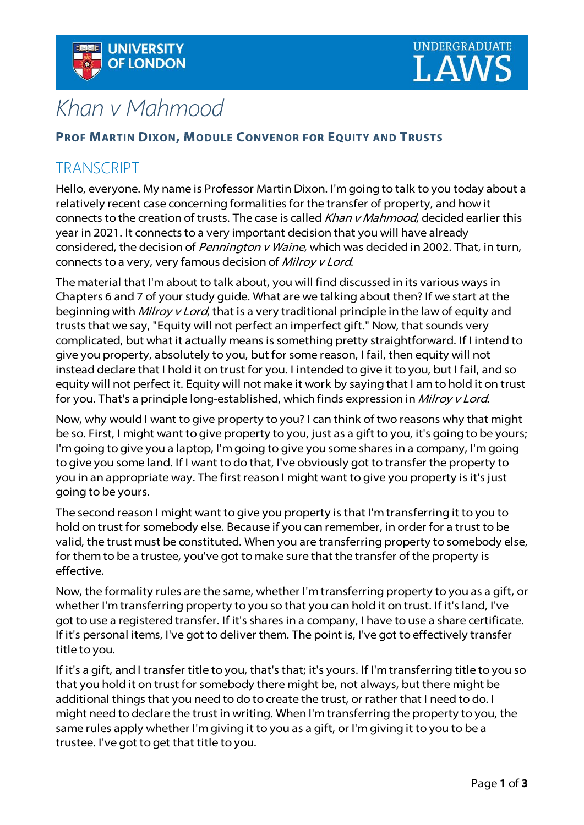



## Khan v Mahmood

## **PROF MARTIN DIXON, MODULE CONVENOR FOR EQUITY AND TRUSTS**

## **TRANSCRIPT**

Hello, everyone. My name is Professor Martin Dixon. I'm going to talk to you today about a relatively recent case concerning formalities for the transfer of property, and how it connects to the creation of trusts. The case is called Khan v Mahmood, decided earlier this year in 2021. It connects to a very important decision that you will have already considered, the decision of *Pennington v Waine*, which was decided in 2002. That, in turn, connects to a very, very famous decision of Milroy v Lord.

The material that I'm about to talk about, you will find discussed in its various ways in Chapters 6 and 7 of your study guide. What are we talking about then? If we start at the beginning with *Milroy v Lord*, that is a very traditional principle in the law of equity and trusts that we say, "Equity will not perfect an imperfect gift." Now, that sounds very complicated, but what it actually means is something pretty straightforward. If I intend to give you property, absolutely to you, but for some reason, I fail, then equity will not instead declare that I hold it on trust for you. I intended to give it to you, but I fail, and so equity will not perfect it. Equity will not make it work by saying that I am to hold it on trust for you. That's a principle long-established, which finds expression in Milroy v Lord.

Now, why would I want to give property to you? I can think of two reasons why that might be so. First, I might want to give property to you, just as a gift to you, it's going to be yours; I'm going to give you a laptop, I'm going to give you some shares in a company, I'm going to give you some land. If I want to do that, I've obviously got to transfer the property to you in an appropriate way. The first reason I might want to give you property is it's just going to be yours.

The second reason I might want to give you property is that I'm transferring it to you to hold on trust for somebody else. Because if you can remember, in order for a trust to be valid, the trust must be constituted. When you are transferring property to somebody else, for them to be a trustee, you've got to make sure that the transfer of the property is effective.

Now, the formality rules are the same, whether I'm transferring property to you as a gift, or whether I'm transferring property to you so that you can hold it on trust. If it's land, I've got to use a registered transfer. If it's shares in a company, I have to use a share certificate. If it's personal items, I've got to deliver them. The point is, I've got to effectively transfer title to you.

If it's a gift, and I transfer title to you, that's that; it's yours. If I'm transferring title to you so that you hold it on trust for somebody there might be, not always, but there might be additional things that you need to do to create the trust, or rather that I need to do. I might need to declare the trust in writing. When I'm transferring the property to you, the same rules apply whether I'm giving it to you as a gift, or I'm giving it to you to be a trustee. I've got to get that title to you.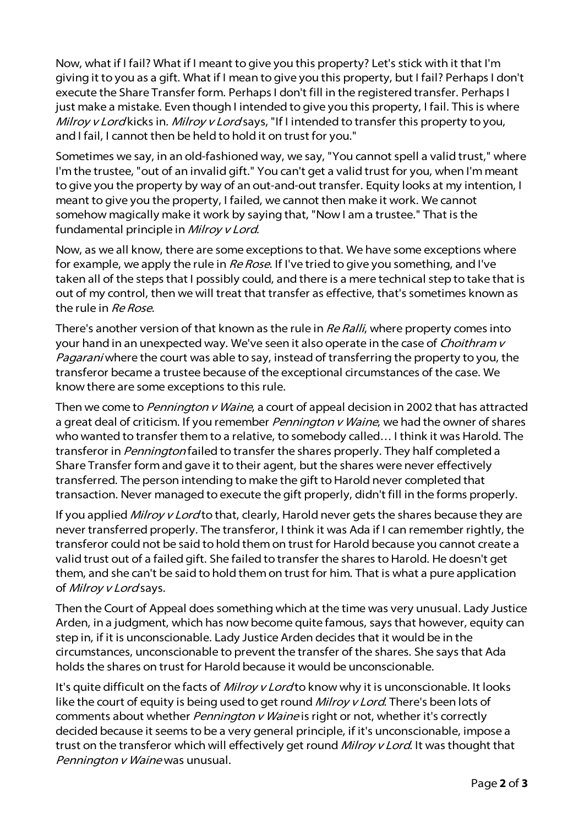Now, what if I fail? What if I meant to give you this property? Let's stick with it that I'm giving it to you as a gift. What if I mean to give you this property, but I fail? Perhaps I don't execute the Share Transfer form. Perhaps I don't fill in the registered transfer. Perhaps I just make a mistake. Even though I intended to give you this property, I fail. This is where Milroy v Lord kicks in. Milroy v Lord says, "If I intended to transfer this property to you, and I fail, I cannot then be held to hold it on trust for you."

Sometimes we say, in an old-fashioned way, we say, "You cannot spell a valid trust," where I'm the trustee, "out of an invalid gift." You can't get a valid trust for you, when I'm meant to give you the property by way of an out-and-out transfer. Equity looks at my intention, I meant to give you the property, I failed, we cannot then make it work. We cannot somehow magically make it work by saying that, "Now I am a trustee." That is the fundamental principle in Milroy v Lord.

Now, as we all know, there are some exceptions to that. We have some exceptions where for example, we apply the rule in Re Rose. If I've tried to give you something, and I've taken all of the steps that I possibly could, and there is a mere technical step to take that is out of my control, then we will treat that transfer as effective, that's sometimes known as the rule in Re Rose.

There's another version of that known as the rule in Re Ralli, where property comes into your hand in an unexpected way. We've seen it also operate in the case of *Choithram v* Pagarani where the court was able to say, instead of transferring the property to you, the transferor became a trustee because of the exceptional circumstances of the case. We know there are some exceptions to this rule.

Then we come to *Pennington v Waine*, a court of appeal decision in 2002 that has attracted a great deal of criticism. If you remember *Pennington v Waine*, we had the owner of shares who wanted to transfer them to a relative, to somebody called… I think it was Harold. The transferor in *Pennington* failed to transfer the shares properly. They half completed a Share Transfer form and gave it to their agent, but the shares were never effectively transferred. The person intending to make the gift to Harold never completed that transaction. Never managed to execute the gift properly, didn't fill in the forms properly.

If you applied Milroy v Lord to that, clearly, Harold never gets the shares because they are never transferred properly. The transferor, I think it was Ada if I can remember rightly, the transferor could not be said to hold them on trust for Harold because you cannot create a valid trust out of a failed gift. She failed to transfer the shares to Harold. He doesn't get them, and she can't be said to hold them on trust for him. That is what a pure application of Milroy v Lord says.

Then the Court of Appeal does something which at the time was very unusual. Lady Justice Arden, in a judgment, which has now become quite famous, says that however, equity can step in, if it is unconscionable. Lady Justice Arden decides that it would be in the circumstances, unconscionable to prevent the transfer of the shares. She says that Ada holds the shares on trust for Harold because it would be unconscionable.

It's quite difficult on the facts of *Milroy v Lord* to know why it is unconscionable. It looks like the court of equity is being used to get round *Milroy v Lord*. There's been lots of comments about whether *Pennington v Waine* is right or not, whether it's correctly decided because it seems to be a very general principle, if it's unconscionable, impose a trust on the transferor which will effectively get round Milroy v Lord. It was thought that Pennington v Waine was unusual.